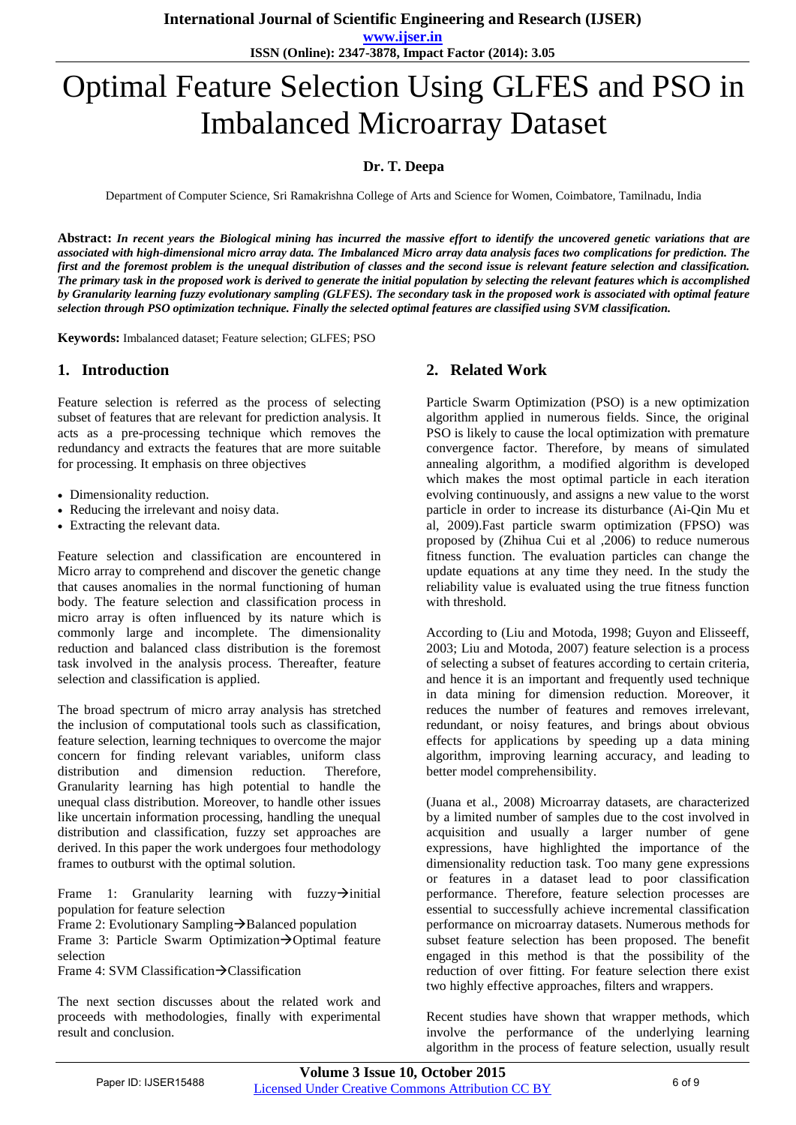**International Journal of Scientific Engineering and Research (IJSER)** 

**www.ijser.in ISSN (Online): 2347-3878, Impact Factor (2014): 3.05**

# Optimal Feature Selection Using GLFES and PSO in Imbalanced Microarray Dataset

## **Dr. T. Deepa**

Department of Computer Science, Sri Ramakrishna College of Arts and Science for Women, Coimbatore, Tamilnadu, India

**Abstract:** *In recent years the Biological mining has incurred the massive effort to identify the uncovered genetic variations that are associated with high-dimensional micro array data. The Imbalanced Micro array data analysis faces two complications for prediction. The first and the foremost problem is the unequal distribution of classes and the second issue is relevant feature selection and classification. The primary task in the proposed work is derived to generate the initial population by selecting the relevant features which is accomplished by Granularity learning fuzzy evolutionary sampling (GLFES). The secondary task in the proposed work is associated with optimal feature selection through PSO optimization technique. Finally the selected optimal features are classified using SVM classification.*

**Keywords:** Imbalanced dataset; Feature selection; GLFES; PSO

#### **1. Introduction**

Feature selection is referred as the process of selecting subset of features that are relevant for prediction analysis. It acts as a pre-processing technique which removes the redundancy and extracts the features that are more suitable for processing. It emphasis on three objectives

- Dimensionality reduction.
- Reducing the irrelevant and noisy data.
- Extracting the relevant data.

Feature selection and classification are encountered in Micro array to comprehend and discover the genetic change that causes anomalies in the normal functioning of human body. The feature selection and classification process in micro array is often influenced by its nature which is commonly large and incomplete. The dimensionality reduction and balanced class distribution is the foremost task involved in the analysis process. Thereafter, feature selection and classification is applied.

The broad spectrum of micro array analysis has stretched the inclusion of computational tools such as classification, feature selection, learning techniques to overcome the major concern for finding relevant variables, uniform class distribution and dimension reduction. Therefore, Granularity learning has high potential to handle the unequal class distribution. Moreover, to handle other issues like uncertain information processing, handling the unequal distribution and classification, fuzzy set approaches are derived. In this paper the work undergoes four methodology frames to outburst with the optimal solution.

Frame 1: Granularity learning with fuzzy $\rightarrow$ initial population for feature selection

Frame 2: Evolutionary Sampling  $\rightarrow$  Balanced population Frame 3: Particle Swarm Optimization $\rightarrow$ Optimal feature selection

Frame 4: SVM Classification $\rightarrow$ Classification

The next section discusses about the related work and proceeds with methodologies, finally with experimental result and conclusion.

#### **2. Related Work**

Particle Swarm Optimization (PSO) is a new optimization algorithm applied in numerous fields. Since, the original PSO is likely to cause the local optimization with premature convergence factor. Therefore, by means of simulated annealing algorithm, a modified algorithm is developed which makes the most optimal particle in each iteration evolving continuously, and assigns a new value to the worst particle in order to increase its disturbance (Ai-Qin Mu et al, 2009).Fast particle swarm optimization (FPSO) was proposed by (Zhihua Cui et al ,2006) to reduce numerous fitness function. The evaluation particles can change the update equations at any time they need. In the study the reliability value is evaluated using the true fitness function with threshold.

According to (Liu and Motoda, 1998; Guyon and Elisseeff, 2003; Liu and Motoda, 2007) feature selection is a process of selecting a subset of features according to certain criteria, and hence it is an important and frequently used technique in data mining for dimension reduction. Moreover, it reduces the number of features and removes irrelevant, redundant, or noisy features, and brings about obvious effects for applications by speeding up a data mining algorithm, improving learning accuracy, and leading to better model comprehensibility.

(Juana et al., 2008) Microarray datasets, are characterized by a limited number of samples due to the cost involved in acquisition and usually a larger number of gene expressions, have highlighted the importance of the dimensionality reduction task. Too many gene expressions or features in a dataset lead to poor classification performance. Therefore, feature selection processes are essential to successfully achieve incremental classification performance on microarray datasets. Numerous methods for subset feature selection has been proposed. The benefit engaged in this method is that the possibility of the reduction of over fitting. For feature selection there exist two highly effective approaches, filters and wrappers.

Recent studies have shown that wrapper methods, which involve the performance of the underlying learning algorithm in the process of feature selection, usually result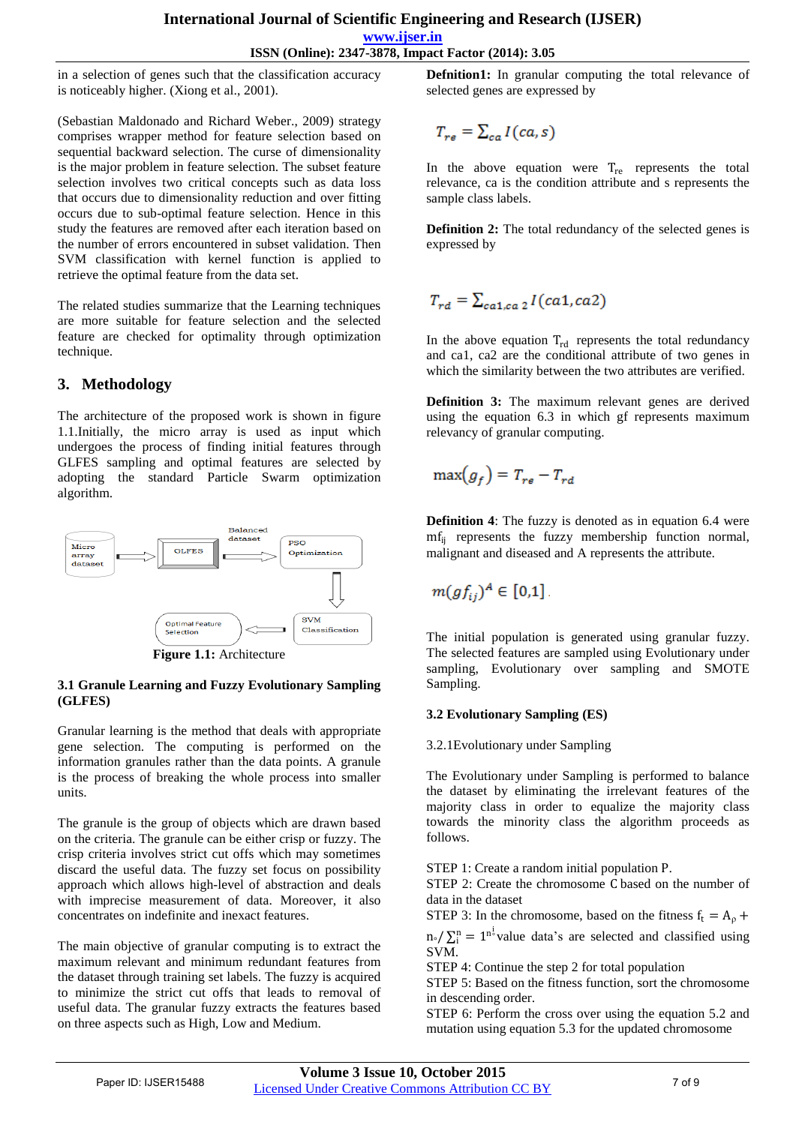in a selection of genes such that the classification accuracy is noticeably higher. (Xiong et al., 2001).

(Sebastian Maldonado and Richard Weber., 2009) strategy comprises wrapper method for feature selection based on sequential backward selection. The curse of dimensionality is the major problem in feature selection. The subset feature selection involves two critical concepts such as data loss that occurs due to dimensionality reduction and over fitting occurs due to sub-optimal feature selection. Hence in this study the features are removed after each iteration based on the number of errors encountered in subset validation. Then SVM classification with kernel function is applied to retrieve the optimal feature from the data set.

The related studies summarize that the Learning techniques are more suitable for feature selection and the selected feature are checked for optimality through optimization technique.

# **3. Methodology**

The architecture of the proposed work is shown in figure 1.1.Initially, the micro array is used as input which undergoes the process of finding initial features through GLFES sampling and optimal features are selected by adopting the standard Particle Swarm optimization algorithm.



**Figure 1.1:** Architecture

#### **3.1 Granule Learning and Fuzzy Evolutionary Sampling (GLFES)**

Granular learning is the method that deals with appropriate gene selection. The computing is performed on the information granules rather than the data points. A granule is the process of breaking the whole process into smaller units.

The granule is the group of objects which are drawn based on the criteria. The granule can be either crisp or fuzzy. The crisp criteria involves strict cut offs which may sometimes discard the useful data. The fuzzy set focus on possibility approach which allows high-level of abstraction and deals with imprecise measurement of data. Moreover, it also concentrates on indefinite and inexact features.

The main objective of granular computing is to extract the maximum relevant and minimum redundant features from the dataset through training set labels. The fuzzy is acquired to minimize the strict cut offs that leads to removal of useful data. The granular fuzzy extracts the features based on three aspects such as High, Low and Medium.

**Defnition1:** In granular computing the total relevance of selected genes are expressed by

$$
T_{re} = \sum_{ca} I(ca, s)
$$

In the above equation were  $T_{\text{re}}$  represents the total relevance, ca is the condition attribute and s represents the sample class labels.

**Definition 2:** The total redundancy of the selected genes is expressed by

$$
T_{rd} = \sum_{ca1,ca2} I(ca1,ca2)
$$

In the above equation  $T_{rd}$  represents the total redundancy and ca1, ca2 are the conditional attribute of two genes in which the similarity between the two attributes are verified.

**Definition 3:** The maximum relevant genes are derived using the equation 6.3 in which gf represents maximum relevancy of granular computing.

$$
\max(g_f) = T_{re} - T_{rd}
$$

**Definition 4**: The fuzzy is denoted as in equation 6.4 were mfij represents the fuzzy membership function normal, malignant and diseased and A represents the attribute.

$$
m(gf_{ij})^A \in [0,1].
$$

The initial population is generated using granular fuzzy. The selected features are sampled using Evolutionary under sampling, Evolutionary over sampling and SMOTE Sampling.

### **3.2 Evolutionary Sampling (ES)**

3.2.1Evolutionary under Sampling

The Evolutionary under Sampling is performed to balance the dataset by eliminating the irrelevant features of the majority class in order to equalize the majority class towards the minority class the algorithm proceeds as follows.

STEP 1: Create a random initial population P.

STEP 2: Create the chromosome C based on the number of data in the dataset

STEP 3: In the chromosome, based on the fitness  $f_t = A_\rho +$ 

 $n_{\circ}/\sum_{i}^{n} = 1^{n_{o}^{j}}$  value data's are selected and classified using SVM.

STEP 4: Continue the step 2 for total population

STEP 5: Based on the fitness function, sort the chromosome in descending order.

STEP 6: Perform the cross over using the equation 5.2 and mutation using equation 5.3 for the updated chromosome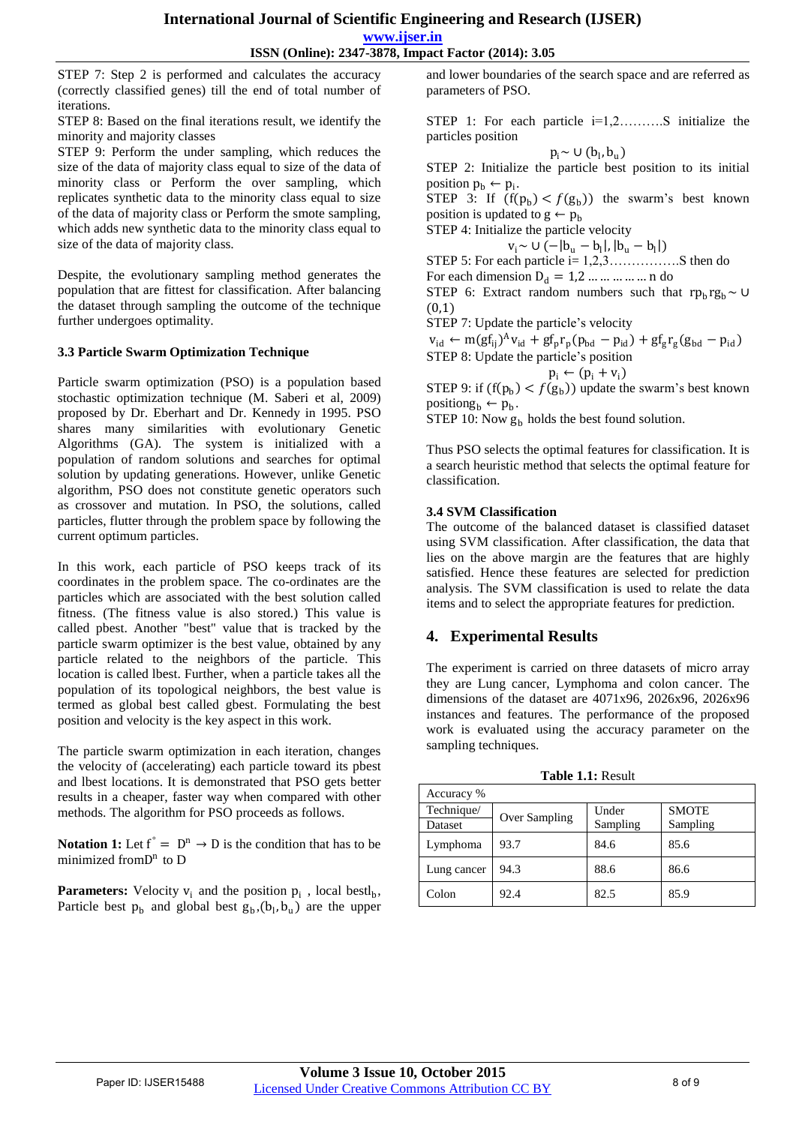**ISSN (Online): 2347-3878, Impact Factor (2014): 3.05**

STEP 7: Step 2 is performed and calculates the accuracy (correctly classified genes) till the end of total number of iterations.

STEP 8: Based on the final iterations result, we identify the minority and majority classes

STEP 9: Perform the under sampling, which reduces the size of the data of majority class equal to size of the data of minority class or Perform the over sampling, which replicates synthetic data to the minority class equal to size of the data of majority class or Perform the smote sampling, which adds new synthetic data to the minority class equal to size of the data of majority class.

Despite, the evolutionary sampling method generates the population that are fittest for classification. After balancing the dataset through sampling the outcome of the technique further undergoes optimality.

#### **3.3 Particle Swarm Optimization Technique**

Particle swarm optimization (PSO) is a population based stochastic optimization technique (M. Saberi et al, 2009) proposed by Dr. Eberhart and Dr. Kennedy in 1995. PSO shares many similarities with evolutionary Genetic Algorithms (GA). The system is initialized with a population of random solutions and searches for optimal solution by updating generations. However, unlike Genetic algorithm, PSO does not constitute genetic operators such as crossover and mutation. In PSO, the solutions, called particles, flutter through the problem space by following the current optimum particles.

In this work, each particle of PSO keeps track of its coordinates in the problem space. The co-ordinates are the particles which are associated with the best solution called fitness. (The fitness value is also stored.) This value is called pbest. Another "best" value that is tracked by the particle swarm optimizer is the best value, obtained by any particle related to the neighbors of the particle. This location is called lbest. Further, when a particle takes all the population of its topological neighbors, the best value is termed as global best called gbest. Formulating the best position and velocity is the key aspect in this work.

The particle swarm optimization in each iteration, changes the velocity of (accelerating) each particle toward its pbest and lbest locations. It is demonstrated that PSO gets better results in a cheaper, faster way when compared with other methods. The algorithm for PSO proceeds as follows.

**Notation 1:** Let  $f^{\circ} = D^n \rightarrow D$  is the condition that has to be minimized from D<sup>n</sup> to D

**Parameters:** Velocity  $v_i$  and the position  $p_i$ , local bestl<sub>b</sub>, Particle best  $p_b$  and global best  $g_b$ ,  $(b_l, b_u)$  are the upper

and lower boundaries of the search space and are referred as parameters of PSO.

STEP 1: For each particle i=1,2……….S initialize the particles position

$$
p_i \sim \cup (b_l, b_u)
$$

STEP 2: Initialize the particle best position to its initial position  $p_b \leftarrow p_i$ .

STEP 3: If  $(f(p_b) < f(g_b))$  the swarm's best known position is updated to  $g \leftarrow p_b$ 

STEP 4: Initialize the particle velocity

 $v_i \sim U(-|b_u - b_l|, |b_u - b_l|)$ 

STEP 5: For each particle i= 1,2,3…………….S then do For each dimension  $D_d = 1, 2, \dots, \dots, \dots$  n do STEP 6: Extract random numbers such that  $rp<sub>h</sub> rg<sub>h</sub>~U$ 

(0,1)

STEP 7: Update the particle's velocity

 $v_{\rm id} \leftarrow m (gf_{ij})^A v_{\rm id} + gf_p r_p (p_{\rm bd} - p_{\rm id}) + gf_g r_g (g_{\rm bd} - p_{\rm id})$ STEP 8: Update the particle's position

$$
p_i \leftarrow (p_i + v_i)
$$

STEP 9: if  $(f(p_b) < f(g_b))$  update the swarm's best known  $positiong_b \leftarrow p_b$ .

STEP 10: Now  $g<sub>b</sub>$  holds the best found solution.

Thus PSO selects the optimal features for classification. It is a search heuristic method that selects the optimal feature for classification.

#### **3.4 SVM Classification**

The outcome of the balanced dataset is classified dataset using SVM classification. After classification, the data that lies on the above margin are the features that are highly satisfied. Hence these features are selected for prediction analysis. The SVM classification is used to relate the data items and to select the appropriate features for prediction.

## **4. Experimental Results**

The experiment is carried on three datasets of micro array they are Lung cancer, Lymphoma and colon cancer. The dimensions of the dataset are 4071x96, 2026x96, 2026x96 instances and features. The performance of the proposed work is evaluated using the accuracy parameter on the sampling techniques.

| Accuracy %            |               |                   |                          |
|-----------------------|---------------|-------------------|--------------------------|
| Technique/<br>Dataset | Over Sampling | Under<br>Sampling | <b>SMOTE</b><br>Sampling |
| Lymphoma              | 93.7          | 84.6              | 85.6                     |
| Lung cancer           | 94.3          | 88.6              | 86.6                     |
| Colon                 | 92.4          | 82.5              | 85.9                     |

**Table 1.1:** Result